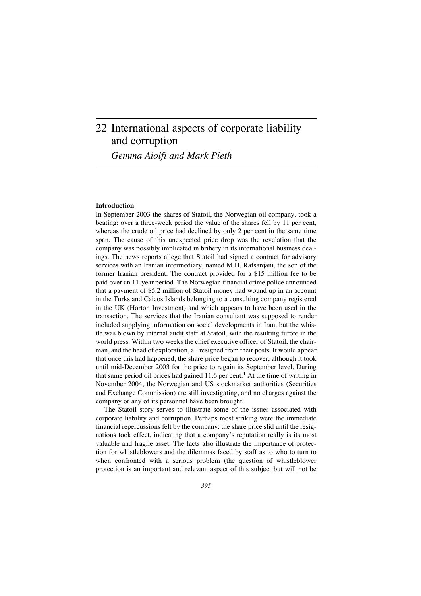*Gemma Aiolfi and Mark Pieth*

#### **Introduction**

In September 2003 the shares of Statoil, the Norwegian oil company, took a beating: over a three-week period the value of the shares fell by 11 per cent, whereas the crude oil price had declined by only 2 per cent in the same time span. The cause of this unexpected price drop was the revelation that the company was possibly implicated in bribery in its international business dealings. The news reports allege that Statoil had signed a contract for advisory services with an Iranian intermediary, named M.H. Rafsanjani, the son of the former Iranian president. The contract provided for a \$15 million fee to be paid over an 11-year period. The Norwegian financial crime police announced that a payment of \$5.2 million of Statoil money had wound up in an account in the Turks and Caicos Islands belonging to a consulting company registered in the UK (Horton Investment) and which appears to have been used in the transaction. The services that the Iranian consultant was supposed to render included supplying information on social developments in Iran, but the whistle was blown by internal audit staff at Statoil, with the resulting furore in the world press. Within two weeks the chief executive officer of Statoil, the chairman, and the head of exploration, all resigned from their posts. It would appear that once this had happened, the share price began to recover, although it took until mid-December 2003 for the price to regain its September level. During that same period oil prices had gained 11.6 per cent.<sup>1</sup> At the time of writing in November 2004, the Norwegian and US stockmarket authorities (Securities and Exchange Commission) are still investigating, and no charges against the company or any of its personnel have been brought.

The Statoil story serves to illustrate some of the issues associated with corporate liability and corruption. Perhaps most striking were the immediate financial repercussions felt by the company: the share price slid until the resignations took effect, indicating that a company's reputation really is its most valuable and fragile asset. The facts also illustrate the importance of protection for whistleblowers and the dilemmas faced by staff as to who to turn to when confronted with a serious problem (the question of whistleblower protection is an important and relevant aspect of this subject but will not be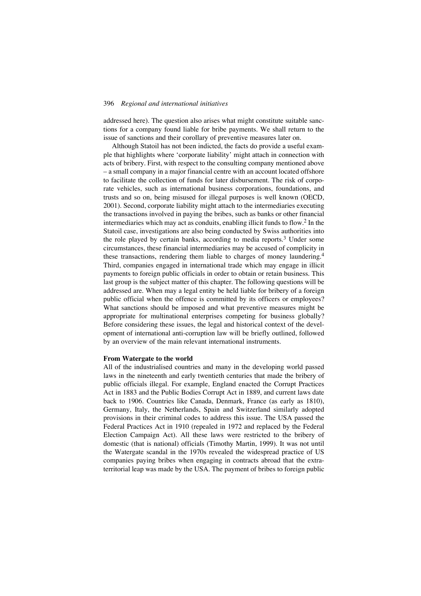addressed here). The question also arises what might constitute suitable sanctions for a company found liable for bribe payments. We shall return to the issue of sanctions and their corollary of preventive measures later on.

Although Statoil has not been indicted, the facts do provide a useful example that highlights where 'corporate liability' might attach in connection with acts of bribery. First, with respect to the consulting company mentioned above – a small company in a major financial centre with an account located offshore to facilitate the collection of funds for later disbursement. The risk of corporate vehicles, such as international business corporations, foundations, and trusts and so on, being misused for illegal purposes is well known (OECD, 2001). Second, corporate liability might attach to the intermediaries executing the transactions involved in paying the bribes, such as banks or other financial intermediaries which may act as conduits, enabling illicit funds to flow.<sup>2</sup> In the Statoil case, investigations are also being conducted by Swiss authorities into the role played by certain banks, according to media reports.3 Under some circumstances, these financial intermediaries may be accused of complicity in these transactions, rendering them liable to charges of money laundering.4 Third, companies engaged in international trade which may engage in illicit payments to foreign public officials in order to obtain or retain business. This last group is the subject matter of this chapter. The following questions will be addressed are. When may a legal entity be held liable for bribery of a foreign public official when the offence is committed by its officers or employees? What sanctions should be imposed and what preventive measures might be appropriate for multinational enterprises competing for business globally? Before considering these issues, the legal and historical context of the development of international anti-corruption law will be briefly outlined, followed by an overview of the main relevant international instruments.

# **From Watergate to the world**

All of the industrialised countries and many in the developing world passed laws in the nineteenth and early twentieth centuries that made the bribery of public officials illegal. For example, England enacted the Corrupt Practices Act in 1883 and the Public Bodies Corrupt Act in 1889, and current laws date back to 1906. Countries like Canada, Denmark, France (as early as 1810), Germany, Italy, the Netherlands, Spain and Switzerland similarly adopted provisions in their criminal codes to address this issue. The USA passed the Federal Practices Act in 1910 (repealed in 1972 and replaced by the Federal Election Campaign Act). All these laws were restricted to the bribery of domestic (that is national) officials (Timothy Martin, 1999). It was not until the Watergate scandal in the 1970s revealed the widespread practice of US companies paying bribes when engaging in contracts abroad that the extraterritorial leap was made by the USA. The payment of bribes to foreign public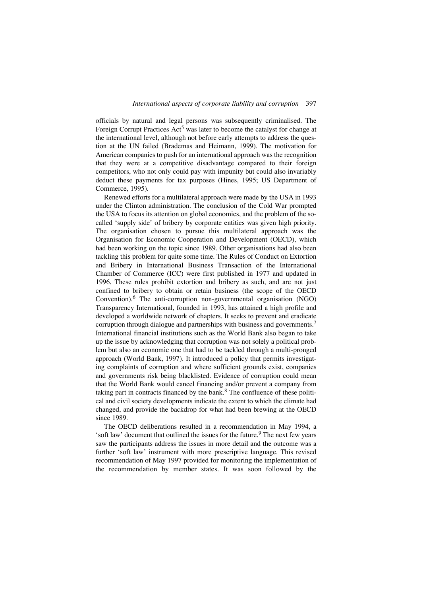officials by natural and legal persons was subsequently criminalised. The Foreign Corrupt Practices  $Act^5$  was later to become the catalyst for change at the international level, although not before early attempts to address the question at the UN failed (Brademas and Heimann, 1999). The motivation for American companies to push for an international approach was the recognition that they were at a competitive disadvantage compared to their foreign competitors, who not only could pay with impunity but could also invariably deduct these payments for tax purposes (Hines, 1995; US Department of Commerce, 1995).

Renewed efforts for a multilateral approach were made by the USA in 1993 under the Clinton administration. The conclusion of the Cold War prompted the USA to focus its attention on global economics, and the problem of the socalled 'supply side' of bribery by corporate entities was given high priority. The organisation chosen to pursue this multilateral approach was the Organisation for Economic Cooperation and Development (OECD), which had been working on the topic since 1989. Other organisations had also been tackling this problem for quite some time. The Rules of Conduct on Extortion and Bribery in International Business Transaction of the International Chamber of Commerce (ICC) were first published in 1977 and updated in 1996. These rules prohibit extortion and bribery as such, and are not just confined to bribery to obtain or retain business (the scope of the OECD Convention).<sup>6</sup> The anti-corruption non-governmental organisation (NGO) Transparency International, founded in 1993, has attained a high profile and developed a worldwide network of chapters. It seeks to prevent and eradicate corruption through dialogue and partnerships with business and governments.<sup>7</sup> International financial institutions such as the World Bank also began to take up the issue by acknowledging that corruption was not solely a political problem but also an economic one that had to be tackled through a multi-pronged approach (World Bank, 1997). It introduced a policy that permits investigating complaints of corruption and where sufficient grounds exist, companies and governments risk being blacklisted. Evidence of corruption could mean that the World Bank would cancel financing and/or prevent a company from taking part in contracts financed by the bank. $8$  The confluence of these political and civil society developments indicate the extent to which the climate had changed, and provide the backdrop for what had been brewing at the OECD since 1989.

The OECD deliberations resulted in a recommendation in May 1994, a 'soft law' document that outlined the issues for the future.<sup>9</sup> The next few years saw the participants address the issues in more detail and the outcome was a further 'soft law' instrument with more prescriptive language. This revised recommendation of May 1997 provided for monitoring the implementation of the recommendation by member states. It was soon followed by the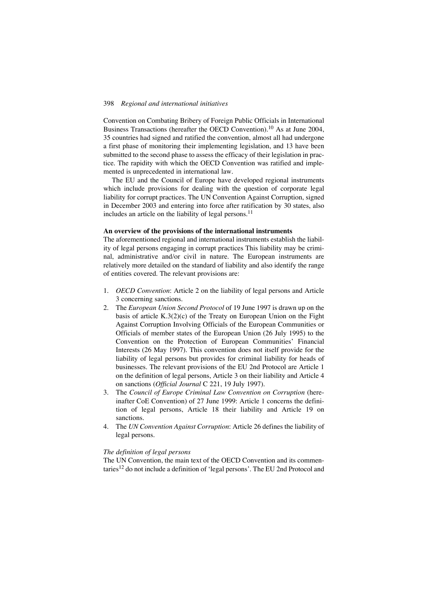Convention on Combating Bribery of Foreign Public Officials in International Business Transactions (hereafter the OECD Convention).<sup>10</sup> As at June 2004, 35 countries had signed and ratified the convention, almost all had undergone a first phase of monitoring their implementing legislation, and 13 have been submitted to the second phase to assess the efficacy of their legislation in practice. The rapidity with which the OECD Convention was ratified and implemented is unprecedented in international law.

The EU and the Council of Europe have developed regional instruments which include provisions for dealing with the question of corporate legal liability for corrupt practices. The UN Convention Against Corruption, signed in December 2003 and entering into force after ratification by 30 states, also includes an article on the liability of legal persons.<sup>11</sup>

#### **An overview of the provisions of the international instruments**

The aforementioned regional and international instruments establish the liability of legal persons engaging in corrupt practices This liability may be criminal, administrative and/or civil in nature. The European instruments are relatively more detailed on the standard of liability and also identify the range of entities covered. The relevant provisions are:

- 1. *OECD Convention*: Article 2 on the liability of legal persons and Article 3 concerning sanctions.
- 2. The *European Union Second Protocol* of 19 June 1997 is drawn up on the basis of article  $K.3(2)(c)$  of the Treaty on European Union on the Fight Against Corruption Involving Officials of the European Communities or Officials of member states of the European Union (26 July 1995) to the Convention on the Protection of European Communities' Financial Interests (26 May 1997). This convention does not itself provide for the liability of legal persons but provides for criminal liability for heads of businesses. The relevant provisions of the EU 2nd Protocol are Article 1 on the definition of legal persons, Article 3 on their liability and Article 4 on sanctions (*Official Journal* C 221, 19 July 1997).
- 3. The *Council of Europe Criminal Law Convention on Corruption* (hereinafter CoE Convention) of 27 June 1999: Article 1 concerns the definition of legal persons, Article 18 their liability and Article 19 on sanctions.
- 4. The *UN Convention Against Corruption*: Article 26 defines the liability of legal persons.

#### *The definition of legal persons*

The UN Convention, the main text of the OECD Convention and its commentaries<sup>12</sup> do not include a definition of 'legal persons'. The EU 2nd Protocol and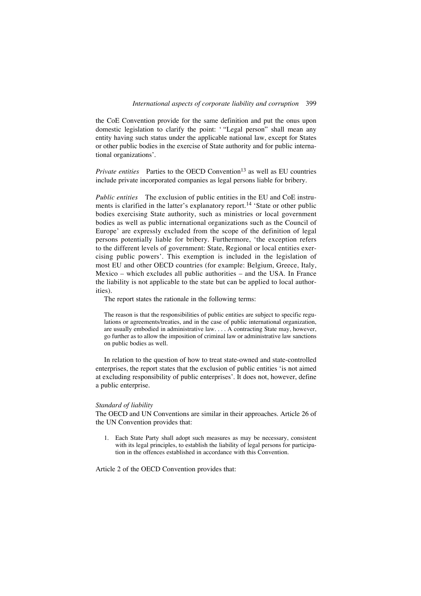the CoE Convention provide for the same definition and put the onus upon domestic legislation to clarify the point: ' "Legal person" shall mean any entity having such status under the applicable national law, except for States or other public bodies in the exercise of State authority and for public international organizations'.

*Private entities* Parties to the OECD Convention<sup>13</sup> as well as EU countries include private incorporated companies as legal persons liable for bribery.

*Public entities* The exclusion of public entities in the EU and CoE instruments is clarified in the latter's explanatory report.<sup>14</sup> 'State or other public bodies exercising State authority, such as ministries or local government bodies as well as public international organizations such as the Council of Europe' are expressly excluded from the scope of the definition of legal persons potentially liable for bribery. Furthermore, 'the exception refers to the different levels of government: State, Regional or local entities exercising public powers'. This exemption is included in the legislation of most EU and other OECD countries (for example: Belgium, Greece, Italy, Mexico – which excludes all public authorities – and the USA. In France the liability is not applicable to the state but can be applied to local authorities).

The report states the rationale in the following terms:

The reason is that the responsibilities of public entities are subject to specific regulations or agreements/treaties, and in the case of public international organization, are usually embodied in administrative law. . . . A contracting State may, however, go further as to allow the imposition of criminal law or administrative law sanctions on public bodies as well.

In relation to the question of how to treat state-owned and state-controlled enterprises, the report states that the exclusion of public entities 'is not aimed at excluding responsibility of public enterprises'. It does not, however, define a public enterprise.

#### *Standard of liability*

The OECD and UN Conventions are similar in their approaches. Article 26 of the UN Convention provides that:

1. Each State Party shall adopt such measures as may be necessary, consistent with its legal principles, to establish the liability of legal persons for participation in the offences established in accordance with this Convention.

Article 2 of the OECD Convention provides that: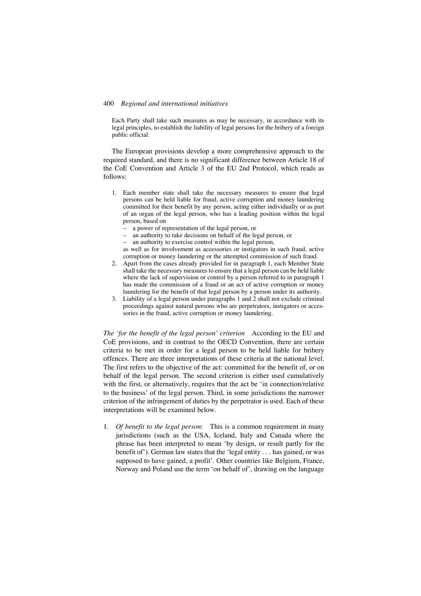Each Party shall take such measures as may be necessary, in accordance with its legal principles, to establish the liability of legal persons for the bribery of a foreign public official.

The European provisions develop a more comprehensive approach to the required standard, and there is no significant difference between Article 18 of the CoE Convention and Article 3 of the EU 2nd Protocol, which reads as follows:

- 1. Each member state shall take the necessary measures to ensure that legal persons can be held liable for fraud, active corruption and money laundering committed for their benefit by any person, acting either individually or as part of an organ of the legal person, who has a leading position within the legal person, based on
	- a power of representation of the legal person, or
	- an authority to take decisions on behalf of the legal person, or
	- an authority to exercise control within the legal person,
	- as well as for involvement as accessories or instigators in such fraud, active corruption or money laundering or the attempted commission of such fraud.
- 2. Apart from the cases already provided for in paragraph 1, each Member State shall take the necessary measures to ensure that a legal person can be held liable where the lack of supervision or control by a person referred to in paragraph 1 has made the commission of a fraud or an act of active corruption or money laundering for the benefit of that legal person by a person under its authority.
- 3. Liability of a legal person under paragraphs 1 and 2 shall not exclude criminal proceedings against natural persons who are perpetrators, instigators or accessories in the fraud, active corruption or money laundering.

*The 'for the benefit of the legal person' criterion* According to the EU and CoE provisions, and in contrast to the OECD Convention, there are certain criteria to be met in order for a legal person to be held liable for bribery offences. There are three interpretations of these criteria at the national level. The first refers to the objective of the act: committed for the benefit of, or on behalf of the legal person. The second criterion is either used cumulatively with the first, or alternatively, requires that the act be 'in connection/relative to the business' of the legal person. Third, in some jurisdictions the narrower criterion of the infringement of duties by the perpetrator is used. Each of these interpretations will be examined below.

1. *Of benefit to the legal person*: This is a common requirement in many jurisdictions (such as the USA, Iceland, Italy and Canada where the phrase has been interpreted to mean 'by design, or result partly for the benefit of'). German law states that the 'legal entity . . . has gained, or was supposed to have gained, a profit'. Other countries like Belgium, France, Norway and Poland use the term 'on behalf of', drawing on the language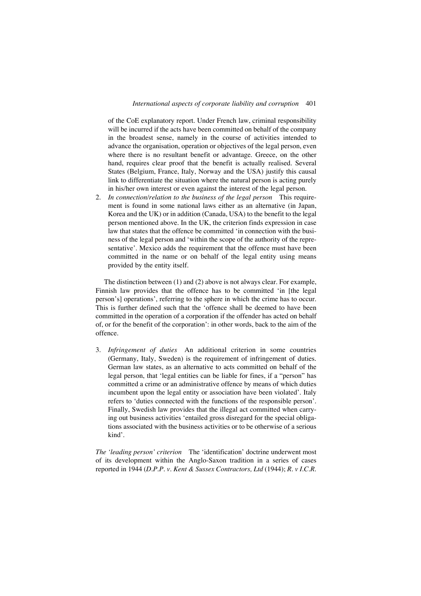of the CoE explanatory report. Under French law, criminal responsibility will be incurred if the acts have been committed on behalf of the company in the broadest sense, namely in the course of activities intended to advance the organisation, operation or objectives of the legal person, even where there is no resultant benefit or advantage. Greece, on the other hand, requires clear proof that the benefit is actually realised. Several States (Belgium, France, Italy, Norway and the USA) justify this causal link to differentiate the situation where the natural person is acting purely in his/her own interest or even against the interest of the legal person.

2. *In connection/relation to the business of the legal person* This requirement is found in some national laws either as an alternative (in Japan, Korea and the UK) or in addition (Canada, USA) to the benefit to the legal person mentioned above. In the UK, the criterion finds expression in case law that states that the offence be committed 'in connection with the business of the legal person and 'within the scope of the authority of the representative'. Mexico adds the requirement that the offence must have been committed in the name or on behalf of the legal entity using means provided by the entity itself.

The distinction between (1) and (2) above is not always clear. For example, Finnish law provides that the offence has to be committed 'in [the legal person's] operations', referring to the sphere in which the crime has to occur. This is further defined such that the 'offence shall be deemed to have been committed in the operation of a corporation if the offender has acted on behalf of, or for the benefit of the corporation': in other words, back to the aim of the offence.

3. *Infringement of duties* An additional criterion in some countries (Germany, Italy, Sweden) is the requirement of infringement of duties. German law states, as an alternative to acts committed on behalf of the legal person, that 'legal entities can be liable for fines, if a "person" has committed a crime or an administrative offence by means of which duties incumbent upon the legal entity or association have been violated'. Italy refers to 'duties connected with the functions of the responsible person'. Finally, Swedish law provides that the illegal act committed when carrying out business activities 'entailed gross disregard for the special obligations associated with the business activities or to be otherwise of a serious kind'.

*The 'leading person' criterion* The 'identification' doctrine underwent most of its development within the Anglo-Saxon tradition in a series of cases reported in 1944 (*D.P.P. v. Kent & Sussex Contractors, Ltd* (1944); *R. v I.C.R.*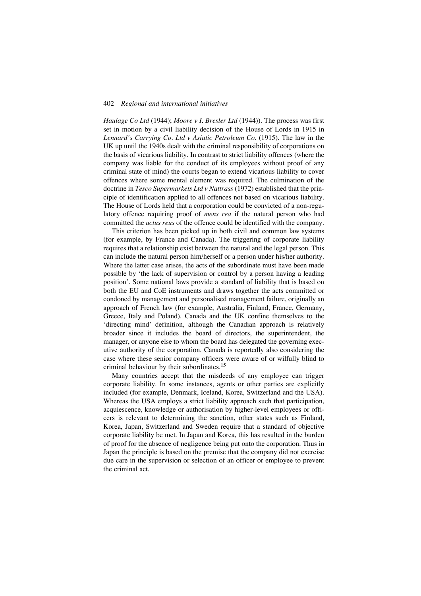*Haulage Co Ltd* (1944); *Moore v I. Bresler Ltd* (1944)). The process was first set in motion by a civil liability decision of the House of Lords in 1915 in Lennard's Carrying Co. Ltd v Asiatic Petroleum Co. (1915). The law in the UK up until the 1940s dealt with the criminal responsibility of corporations on the basis of vicarious liability. In contrast to strict liability offences (where the company was liable for the conduct of its employees without proof of any criminal state of mind) the courts began to extend vicarious liability to cover offences where some mental element was required. The culmination of the doctrine in *Tesco Supermarkets Ltd v Nattrass* (1972) established that the principle of identification applied to all offences not based on vicarious liability. The House of Lords held that a corporation could be convicted of a non-regulatory offence requiring proof of *mens rea* if the natural person who had committed the *actus reus* of the offence could be identified with the company.

This criterion has been picked up in both civil and common law systems (for example, by France and Canada). The triggering of corporate liability requires that a relationship exist between the natural and the legal person. This can include the natural person him/herself or a person under his/her authority. Where the latter case arises, the acts of the subordinate must have been made possible by 'the lack of supervision or control by a person having a leading position'. Some national laws provide a standard of liability that is based on both the EU and CoE instruments and draws together the acts committed or condoned by management and personalised management failure, originally an approach of French law (for example, Australia, Finland, France, Germany, Greece, Italy and Poland). Canada and the UK confine themselves to the 'directing mind' definition, although the Canadian approach is relatively broader since it includes the board of directors, the superintendent, the manager, or anyone else to whom the board has delegated the governing executive authority of the corporation. Canada is reportedly also considering the case where these senior company officers were aware of or wilfully blind to criminal behaviour by their subordinates.15

Many countries accept that the misdeeds of any employee can trigger corporate liability. In some instances, agents or other parties are explicitly included (for example, Denmark, Iceland, Korea, Switzerland and the USA). Whereas the USA employs a strict liability approach such that participation, acquiescence, knowledge or authorisation by higher-level employees or officers is relevant to determining the sanction, other states such as Finland, Korea, Japan, Switzerland and Sweden require that a standard of objective corporate liability be met. In Japan and Korea, this has resulted in the burden of proof for the absence of negligence being put onto the corporation. Thus in Japan the principle is based on the premise that the company did not exercise due care in the supervision or selection of an officer or employee to prevent the criminal act.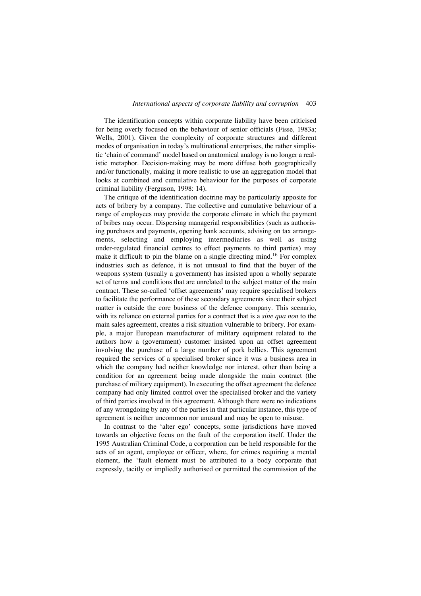The identification concepts within corporate liability have been criticised for being overly focused on the behaviour of senior officials (Fisse, 1983a; Wells, 2001). Given the complexity of corporate structures and different modes of organisation in today's multinational enterprises, the rather simplistic 'chain of command' model based on anatomical analogy is no longer a realistic metaphor. Decision-making may be more diffuse both geographically and/or functionally, making it more realistic to use an aggregation model that looks at combined and cumulative behaviour for the purposes of corporate criminal liability (Ferguson, 1998: 14).

The critique of the identification doctrine may be particularly apposite for acts of bribery by a company. The collective and cumulative behaviour of a range of employees may provide the corporate climate in which the payment of bribes may occur. Dispersing managerial responsibilities (such as authorising purchases and payments, opening bank accounts, advising on tax arrangements, selecting and employing intermediaries as well as using under-regulated financial centres to effect payments to third parties) may make it difficult to pin the blame on a single directing mind.16 For complex industries such as defence, it is not unusual to find that the buyer of the weapons system (usually a government) has insisted upon a wholly separate set of terms and conditions that are unrelated to the subject matter of the main contract. These so-called 'offset agreements' may require specialised brokers to facilitate the performance of these secondary agreements since their subject matter is outside the core business of the defence company. This scenario, with its reliance on external parties for a contract that is a *sine qua non* to the main sales agreement, creates a risk situation vulnerable to bribery. For example, a major European manufacturer of military equipment related to the authors how a (government) customer insisted upon an offset agreement involving the purchase of a large number of pork bellies. This agreement required the services of a specialised broker since it was a business area in which the company had neither knowledge nor interest, other than being a condition for an agreement being made alongside the main contract (the purchase of military equipment). In executing the offset agreement the defence company had only limited control over the specialised broker and the variety of third parties involved in this agreement. Although there were no indications of any wrongdoing by any of the parties in that particular instance, this type of agreement is neither uncommon nor unusual and may be open to misuse.

In contrast to the 'alter ego' concepts, some jurisdictions have moved towards an objective focus on the fault of the corporation itself. Under the 1995 Australian Criminal Code, a corporation can be held responsible for the acts of an agent, employee or officer, where, for crimes requiring a mental element, the 'fault element must be attributed to a body corporate that expressly, tacitly or impliedly authorised or permitted the commission of the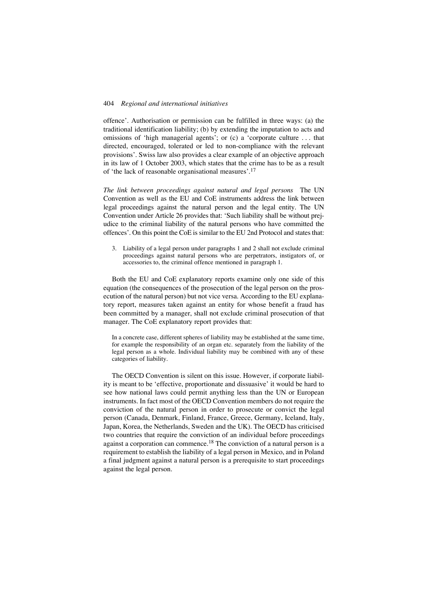offence'. Authorisation or permission can be fulfilled in three ways: (a) the traditional identification liability; (b) by extending the imputation to acts and omissions of 'high managerial agents'; or (c) a 'corporate culture . . . that directed, encouraged, tolerated or led to non-compliance with the relevant provisions'. Swiss law also provides a clear example of an objective approach in its law of 1 October 2003, which states that the crime has to be as a result of 'the lack of reasonable organisational measures'.17

*The link between proceedings against natural and legal persons* The UN Convention as well as the EU and CoE instruments address the link between legal proceedings against the natural person and the legal entity. The UN Convention under Article 26 provides that: 'Such liability shall be without prejudice to the criminal liability of the natural persons who have committed the offences'. On this point the CoE is similar to the EU 2nd Protocol and states that:

3. Liability of a legal person under paragraphs 1 and 2 shall not exclude criminal proceedings against natural persons who are perpetrators, instigators of, or accessories to, the criminal offence mentioned in paragraph 1.

Both the EU and CoE explanatory reports examine only one side of this equation (the consequences of the prosecution of the legal person on the prosecution of the natural person) but not vice versa. According to the EU explanatory report, measures taken against an entity for whose benefit a fraud has been committed by a manager, shall not exclude criminal prosecution of that manager. The CoE explanatory report provides that:

In a concrete case, different spheres of liability may be established at the same time, for example the responsibility of an organ etc. separately from the liability of the legal person as a whole. Individual liability may be combined with any of these categories of liability.

The OECD Convention is silent on this issue. However, if corporate liability is meant to be 'effective, proportionate and dissuasive' it would be hard to see how national laws could permit anything less than the UN or European instruments. In fact most of the OECD Convention members do not require the conviction of the natural person in order to prosecute or convict the legal person (Canada, Denmark, Finland, France, Greece, Germany, Iceland, Italy, Japan, Korea, the Netherlands, Sweden and the UK). The OECD has criticised two countries that require the conviction of an individual before proceedings against a corporation can commence.<sup>18</sup> The conviction of a natural person is a requirement to establish the liability of a legal person in Mexico, and in Poland a final judgment against a natural person is a prerequisite to start proceedings against the legal person.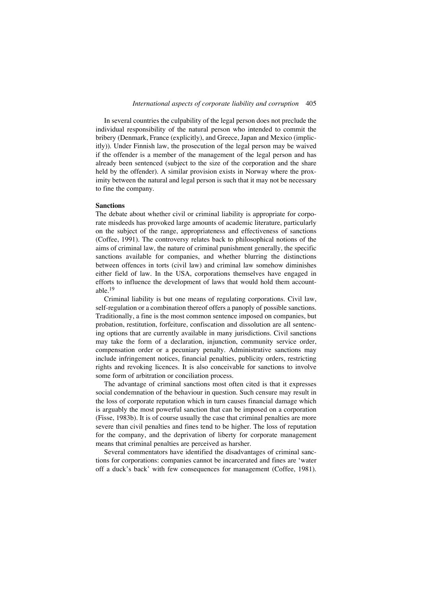In several countries the culpability of the legal person does not preclude the individual responsibility of the natural person who intended to commit the bribery (Denmark, France (explicitly), and Greece, Japan and Mexico (implicitly)). Under Finnish law, the prosecution of the legal person may be waived if the offender is a member of the management of the legal person and has already been sentenced (subject to the size of the corporation and the share held by the offender). A similar provision exists in Norway where the proximity between the natural and legal person is such that it may not be necessary to fine the company.

#### **Sanctions**

The debate about whether civil or criminal liability is appropriate for corporate misdeeds has provoked large amounts of academic literature, particularly on the subject of the range, appropriateness and effectiveness of sanctions (Coffee, 1991). The controversy relates back to philosophical notions of the aims of criminal law, the nature of criminal punishment generally, the specific sanctions available for companies, and whether blurring the distinctions between offences in torts (civil law) and criminal law somehow diminishes either field of law. In the USA, corporations themselves have engaged in efforts to influence the development of laws that would hold them accountable.19

Criminal liability is but one means of regulating corporations. Civil law, self-regulation or a combination thereof offers a panoply of possible sanctions. Traditionally, a fine is the most common sentence imposed on companies, but probation, restitution, forfeiture, confiscation and dissolution are all sentencing options that are currently available in many jurisdictions. Civil sanctions may take the form of a declaration, injunction, community service order, compensation order or a pecuniary penalty. Administrative sanctions may include infringement notices, financial penalties, publicity orders, restricting rights and revoking licences. It is also conceivable for sanctions to involve some form of arbitration or conciliation process.

The advantage of criminal sanctions most often cited is that it expresses social condemnation of the behaviour in question. Such censure may result in the loss of corporate reputation which in turn causes financial damage which is arguably the most powerful sanction that can be imposed on a corporation (Fisse, 1983b). It is of course usually the case that criminal penalties are more severe than civil penalties and fines tend to be higher. The loss of reputation for the company, and the deprivation of liberty for corporate management means that criminal penalties are perceived as harsher.

Several commentators have identified the disadvantages of criminal sanctions for corporations: companies cannot be incarcerated and fines are 'water off a duck's back' with few consequences for management (Coffee, 1981).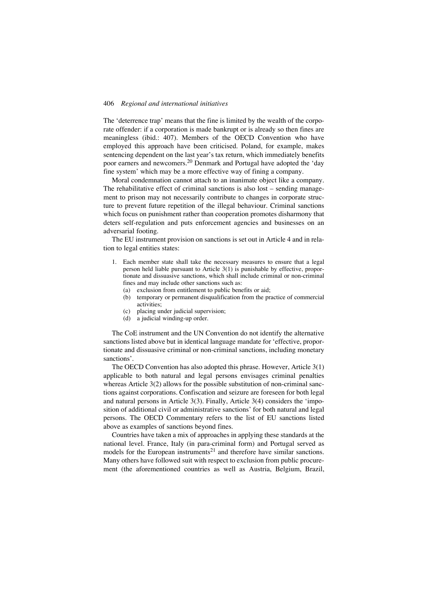The 'deterrence trap' means that the fine is limited by the wealth of the corporate offender: if a corporation is made bankrupt or is already so then fines are meaningless (ibid.: 407). Members of the OECD Convention who have employed this approach have been criticised. Poland, for example, makes sentencing dependent on the last year's tax return, which immediately benefits poor earners and newcomers.20 Denmark and Portugal have adopted the 'day fine system' which may be a more effective way of fining a company.

Moral condemnation cannot attach to an inanimate object like a company. The rehabilitative effect of criminal sanctions is also lost – sending management to prison may not necessarily contribute to changes in corporate structure to prevent future repetition of the illegal behaviour. Criminal sanctions which focus on punishment rather than cooperation promotes disharmony that deters self-regulation and puts enforcement agencies and businesses on an adversarial footing.

The EU instrument provision on sanctions is set out in Article 4 and in relation to legal entities states:

- 1. Each member state shall take the necessary measures to ensure that a legal person held liable pursuant to Article 3(1) is punishable by effective, proportionate and dissuasive sanctions, which shall include criminal or non-criminal fines and may include other sanctions such as:
	- (a) exclusion from entitlement to public benefits or aid;
	- (b) temporary or permanent disqualification from the practice of commercial activities;
	- (c) placing under judicial supervision;
	- (d) a judicial winding-up order.

The CoE instrument and the UN Convention do not identify the alternative sanctions listed above but in identical language mandate for 'effective, proportionate and dissuasive criminal or non-criminal sanctions, including monetary sanctions'.

The OECD Convention has also adopted this phrase. However, Article 3(1) applicable to both natural and legal persons envisages criminal penalties whereas Article 3(2) allows for the possible substitution of non-criminal sanctions against corporations. Confiscation and seizure are foreseen for both legal and natural persons in Article 3(3). Finally, Article 3(4) considers the 'imposition of additional civil or administrative sanctions' for both natural and legal persons. The OECD Commentary refers to the list of EU sanctions listed above as examples of sanctions beyond fines.

Countries have taken a mix of approaches in applying these standards at the national level. France, Italy (in para-criminal form) and Portugal served as models for the European instruments<sup>21</sup> and therefore have similar sanctions. Many others have followed suit with respect to exclusion from public procurement (the aforementioned countries as well as Austria, Belgium, Brazil,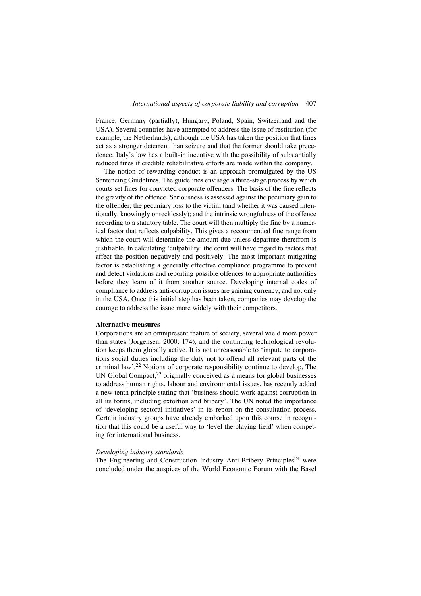France, Germany (partially), Hungary, Poland, Spain, Switzerland and the USA). Several countries have attempted to address the issue of restitution (for example, the Netherlands), although the USA has taken the position that fines act as a stronger deterrent than seizure and that the former should take precedence. Italy's law has a built-in incentive with the possibility of substantially reduced fines if credible rehabilitative efforts are made within the company.

The notion of rewarding conduct is an approach promulgated by the US Sentencing Guidelines. The guidelines envisage a three-stage process by which courts set fines for convicted corporate offenders. The basis of the fine reflects the gravity of the offence. Seriousness is assessed against the pecuniary gain to the offender; the pecuniary loss to the victim (and whether it was caused intentionally, knowingly or recklessly); and the intrinsic wrongfulness of the offence according to a statutory table. The court will then multiply the fine by a numerical factor that reflects culpability. This gives a recommended fine range from which the court will determine the amount due unless departure therefrom is justifiable. In calculating 'culpability' the court will have regard to factors that affect the position negatively and positively. The most important mitigating factor is establishing a generally effective compliance programme to prevent and detect violations and reporting possible offences to appropriate authorities before they learn of it from another source. Developing internal codes of compliance to address anti-corruption issues are gaining currency, and not only in the USA. Once this initial step has been taken, companies may develop the courage to address the issue more widely with their competitors.

#### **Alternative measures**

Corporations are an omnipresent feature of society, several wield more power than states (Jorgensen, 2000: 174), and the continuing technological revolution keeps them globally active. It is not unreasonable to 'impute to corporations social duties including the duty not to offend all relevant parts of the criminal law'.<sup>22</sup> Notions of corporate responsibility continue to develop. The UN Global Compact, $^{23}$  originally conceived as a means for global businesses to address human rights, labour and environmental issues, has recently added a new tenth principle stating that 'business should work against corruption in all its forms, including extortion and bribery'. The UN noted the importance of 'developing sectoral initiatives' in its report on the consultation process. Certain industry groups have already embarked upon this course in recognition that this could be a useful way to 'level the playing field' when competing for international business.

#### *Developing industry standards*

The Engineering and Construction Industry Anti-Bribery Principles<sup>24</sup> were concluded under the auspices of the World Economic Forum with the Basel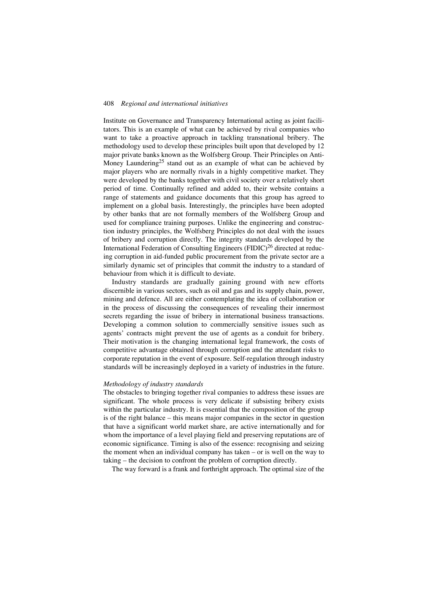Institute on Governance and Transparency International acting as joint facilitators. This is an example of what can be achieved by rival companies who want to take a proactive approach in tackling transnational bribery. The methodology used to develop these principles built upon that developed by 12 major private banks known as the Wolfsberg Group. Their Principles on Anti-Money Laundering<sup>25</sup> stand out as an example of what can be achieved by major players who are normally rivals in a highly competitive market. They were developed by the banks together with civil society over a relatively short period of time. Continually refined and added to, their website contains a range of statements and guidance documents that this group has agreed to implement on a global basis. Interestingly, the principles have been adopted by other banks that are not formally members of the Wolfsberg Group and used for compliance training purposes. Unlike the engineering and construction industry principles, the Wolfsberg Principles do not deal with the issues of bribery and corruption directly. The integrity standards developed by the International Federation of Consulting Engineers  $(FIDIC)^{26}$  directed at reducing corruption in aid-funded public procurement from the private sector are a similarly dynamic set of principles that commit the industry to a standard of behaviour from which it is difficult to deviate.

Industry standards are gradually gaining ground with new efforts discernible in various sectors, such as oil and gas and its supply chain, power, mining and defence. All are either contemplating the idea of collaboration or in the process of discussing the consequences of revealing their innermost secrets regarding the issue of bribery in international business transactions. Developing a common solution to commercially sensitive issues such as agents' contracts might prevent the use of agents as a conduit for bribery. Their motivation is the changing international legal framework, the costs of competitive advantage obtained through corruption and the attendant risks to corporate reputation in the event of exposure. Self-regulation through industry standards will be increasingly deployed in a variety of industries in the future.

### *Methodology of industry standards*

The obstacles to bringing together rival companies to address these issues are significant. The whole process is very delicate if subsisting bribery exists within the particular industry. It is essential that the composition of the group is of the right balance – this means major companies in the sector in question that have a significant world market share, are active internationally and for whom the importance of a level playing field and preserving reputations are of economic significance. Timing is also of the essence: recognising and seizing the moment when an individual company has taken – or is well on the way to taking – the decision to confront the problem of corruption directly.

The way forward is a frank and forthright approach. The optimal size of the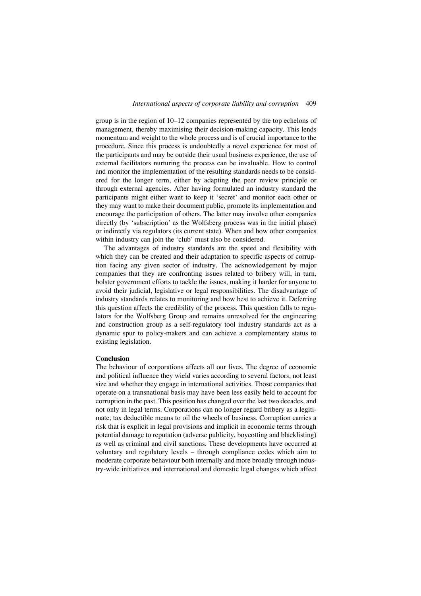group is in the region of 10–12 companies represented by the top echelons of management, thereby maximising their decision-making capacity. This lends momentum and weight to the whole process and is of crucial importance to the procedure. Since this process is undoubtedly a novel experience for most of the participants and may be outside their usual business experience, the use of external facilitators nurturing the process can be invaluable. How to control and monitor the implementation of the resulting standards needs to be considered for the longer term, either by adapting the peer review principle or through external agencies. After having formulated an industry standard the participants might either want to keep it 'secret' and monitor each other or they may want to make their document public, promote its implementation and encourage the participation of others. The latter may involve other companies directly (by 'subscription' as the Wolfsberg process was in the initial phase) or indirectly via regulators (its current state). When and how other companies within industry can join the 'club' must also be considered.

The advantages of industry standards are the speed and flexibility with which they can be created and their adaptation to specific aspects of corruption facing any given sector of industry. The acknowledgement by major companies that they are confronting issues related to bribery will, in turn, bolster government efforts to tackle the issues, making it harder for anyone to avoid their judicial, legislative or legal responsibilities. The disadvantage of industry standards relates to monitoring and how best to achieve it. Deferring this question affects the credibility of the process. This question falls to regulators for the Wolfsberg Group and remains unresolved for the engineering and construction group as a self-regulatory tool industry standards act as a dynamic spur to policy-makers and can achieve a complementary status to existing legislation.

#### **Conclusion**

The behaviour of corporations affects all our lives. The degree of economic and political influence they wield varies according to several factors, not least size and whether they engage in international activities. Those companies that operate on a transnational basis may have been less easily held to account for corruption in the past. This position has changed over the last two decades, and not only in legal terms. Corporations can no longer regard bribery as a legitimate, tax deductible means to oil the wheels of business. Corruption carries a risk that is explicit in legal provisions and implicit in economic terms through potential damage to reputation (adverse publicity, boycotting and blacklisting) as well as criminal and civil sanctions. These developments have occurred at voluntary and regulatory levels – through compliance codes which aim to moderate corporate behaviour both internally and more broadly through industry-wide initiatives and international and domestic legal changes which affect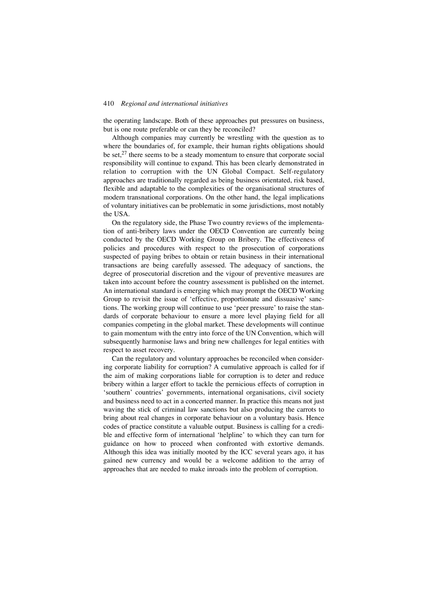the operating landscape. Both of these approaches put pressures on business, but is one route preferable or can they be reconciled?

Although companies may currently be wrestling with the question as to where the boundaries of, for example, their human rights obligations should be set,<sup>27</sup> there seems to be a steady momentum to ensure that corporate social responsibility will continue to expand. This has been clearly demonstrated in relation to corruption with the UN Global Compact. Self-regulatory approaches are traditionally regarded as being business orientated, risk based, flexible and adaptable to the complexities of the organisational structures of modern transnational corporations. On the other hand, the legal implications of voluntary initiatives can be problematic in some jurisdictions, most notably the USA.

On the regulatory side, the Phase Two country reviews of the implementation of anti-bribery laws under the OECD Convention are currently being conducted by the OECD Working Group on Bribery. The effectiveness of policies and procedures with respect to the prosecution of corporations suspected of paying bribes to obtain or retain business in their international transactions are being carefully assessed. The adequacy of sanctions, the degree of prosecutorial discretion and the vigour of preventive measures are taken into account before the country assessment is published on the internet. An international standard is emerging which may prompt the OECD Working Group to revisit the issue of 'effective, proportionate and dissuasive' sanctions. The working group will continue to use 'peer pressure' to raise the standards of corporate behaviour to ensure a more level playing field for all companies competing in the global market. These developments will continue to gain momentum with the entry into force of the UN Convention, which will subsequently harmonise laws and bring new challenges for legal entities with respect to asset recovery.

Can the regulatory and voluntary approaches be reconciled when considering corporate liability for corruption? A cumulative approach is called for if the aim of making corporations liable for corruption is to deter and reduce bribery within a larger effort to tackle the pernicious effects of corruption in 'southern' countries' governments, international organisations, civil society and business need to act in a concerted manner. In practice this means not just waving the stick of criminal law sanctions but also producing the carrots to bring about real changes in corporate behaviour on a voluntary basis. Hence codes of practice constitute a valuable output. Business is calling for a credible and effective form of international 'helpline' to which they can turn for guidance on how to proceed when confronted with extortive demands. Although this idea was initially mooted by the ICC several years ago, it has gained new currency and would be a welcome addition to the array of approaches that are needed to make inroads into the problem of corruption.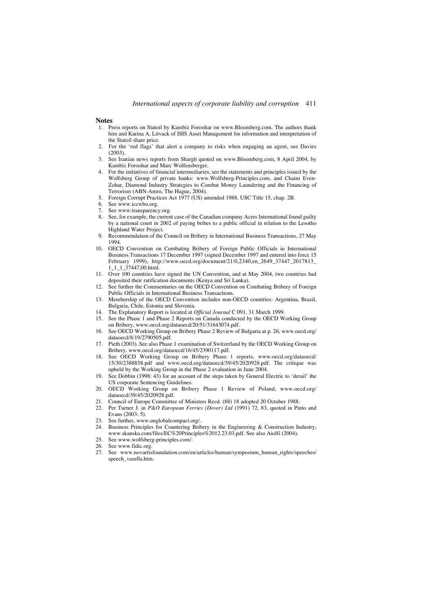# **Notes**<br>1. Pr

- Press reports on Statoil by Kambiz Foroohar on www.Bloomberg.com. The authors thank him and Karina A. Litvack of ISIS Asset Management for information and interpretation of the Statoil share price.
- 2. For the 'red flags' that alert a company to risks when engaging an agent, see Davies  $(2003)$
- 3. See Iranian news reports from Shargh quoted on www.Bloomberg.com, 8 April 2004, by Kambiz Foroohar and Marc Wolfensberger.
- 4. For the initiatives of financial intermediaries, see the statements and principles issued by the Wolfsberg Group of private banks: www.Wolfsberg-Principles.com, and Chaim Even-Zohar, Diamond Industry Strategies to Combat Money Laundering and the Financing of Terrorism (ABN-Amro, The Hague, 2004).
- 5. Foreign Corrupt Practices Act 1977 (US) amended 1988, USC Title 15, chap. 2B.
- 6. See www.iccwbo.org.
- 7. See www.transparency.org.
- 8. See, for example, the current case of the Canadian company Acres International found guilty by a national court in 2002 of paying bribes to a public official in relation to the Lesotho Highland Water Project.
- 9. Recommendation of the Council on Bribery in International Business Transactions, 27 May 1994.
- 10. OECD Convention on Combating Bribery of Foreign Public Officials in International Business Transactions 17 December 1997 (signed December 1997 and entered into force 15 February 1999), http://www.oecd.org/document/21/0,2340,en\_2649\_37447\_2017813\_ 1\_1\_1\_37447,00.html.
- 11. Over 100 countries have signed the UN Convention, and at May 2004, two countries had deposited their ratification documents (Kenya and Sri Lanka).
- 12. See further the Commentaries on the OECD Convention on Combating Bribery of Foreign Public Officials in International Business Transactions.
- 13. Membership of the OECD Convention includes non-OECD countries: Argentina, Brazil, Bulgaria, Chile, Estonia and Slovenia.
- 14. The Explanatory Report is located at *Official Journal* C 091, 31 March 1999.
- 15. See the Phase 1 and Phase 2 Reports on Canada conducted by the OECD Working Group on Bribery, www.oecd.org/dataoecd/20/51/31643074.pdf.
- 16. See OECD Working Group on Bribery Phase 2 Review of Bulgaria at p. 26, www.oecd.org/ dataoecd/8/19/2790505.pdf.
- 17. Pieth (2003). See also Phase 1 examination of Switzerland by the OECD Working Group on Bribery, www.oecd.org/dataoecd/16/45/2390117.pdf.
- 18. See OECD Working Group on Bribery Phase 1 reports, www.oecd.org/dataoecd/ 15/30/2388858.pdf and www.oecd.org/dataoecd/39/45/2020928.pdf. The critique was upheld by the Working Group in the Phase 2 evaluation in June 2004.
- 19. See Dobbin (1998: 43) for an account of the steps taken by General Electric to 'derail' the US corporate Sentencing Guidelines.
- 20. OECD Working Group on Bribery Phase 1 Review of Poland, www.oecd.org/ dataoecd/39/45/2020928.pdf.
- 21. Council of Europe Committee of Ministers Recd. (88) 18 adopted 20 October 1988.
- 22. Per Turner J. in *P&O European Ferries (Dover) Ltd* (1991) 72, 83, quoted in Pinto and Evans (2003: 5).
- 23. See further, www.unglobalcompact.org/.
- 24. Business Principles for Countering Bribery in the Engineering & Construction Industry, www.skanska.com/files/EC%20Principles%2012.23.03.pdf. See also Aiolfi (2004).
- 25. See www.wolfsberg-principles.com/.
- 26. See www.fidic.org.
- 27. See www.novartisfoundation.com/en/articles/human/symposium\_human\_rights/speeches/ speech\_vasella.htm.